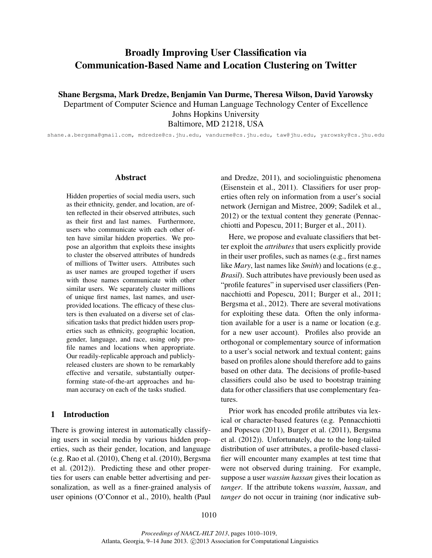# Broadly Improving User Classification via Communication-Based Name and Location Clustering on Twitter

Shane Bergsma, Mark Dredze, Benjamin Van Durme, Theresa Wilson, David Yarowsky

Department of Computer Science and Human Language Technology Center of Excellence Johns Hopkins University Baltimore, MD 21218, USA

shane.a.bergsma@gmail.com, mdredze@cs.jhu.edu, vandurme@cs.jhu.edu, taw@jhu.edu, yarowsky@cs.jhu.edu

#### Abstract

Hidden properties of social media users, such as their ethnicity, gender, and location, are often reflected in their observed attributes, such as their first and last names. Furthermore, users who communicate with each other often have similar hidden properties. We propose an algorithm that exploits these insights to cluster the observed attributes of hundreds of millions of Twitter users. Attributes such as user names are grouped together if users with those names communicate with other similar users. We separately cluster millions of unique first names, last names, and userprovided locations. The efficacy of these clusters is then evaluated on a diverse set of classification tasks that predict hidden users properties such as ethnicity, geographic location, gender, language, and race, using only profile names and locations when appropriate. Our readily-replicable approach and publiclyreleased clusters are shown to be remarkably effective and versatile, substantially outperforming state-of-the-art approaches and human accuracy on each of the tasks studied.

### 1 Introduction

There is growing interest in automatically classifying users in social media by various hidden properties, such as their gender, location, and language (e.g. Rao et al. (2010), Cheng et al. (2010), Bergsma et al. (2012)). Predicting these and other properties for users can enable better advertising and personalization, as well as a finer-grained analysis of user opinions (O'Connor et al., 2010), health (Paul and Dredze, 2011), and sociolinguistic phenomena (Eisenstein et al., 2011). Classifiers for user properties often rely on information from a user's social network (Jernigan and Mistree, 2009; Sadilek et al., 2012) or the textual content they generate (Pennacchiotti and Popescu, 2011; Burger et al., 2011).

Here, we propose and evaluate classifiers that better exploit the *attributes* that users explicitly provide in their user profiles, such as names (e.g., first names like *Mary*, last names like *Smith*) and locations (e.g., *Brasil*). Such attributes have previously been used as "profile features" in supervised user classifiers (Pennacchiotti and Popescu, 2011; Burger et al., 2011; Bergsma et al., 2012). There are several motivations for exploiting these data. Often the only information available for a user is a name or location (e.g. for a new user account). Profiles also provide an orthogonal or complementary source of information to a user's social network and textual content; gains based on profiles alone should therefore add to gains based on other data. The decisions of profile-based classifiers could also be used to bootstrap training data for other classifiers that use complementary features.

Prior work has encoded profile attributes via lexical or character-based features (e.g. Pennacchiotti and Popescu (2011), Burger et al. (2011), Bergsma et al. (2012)). Unfortunately, due to the long-tailed distribution of user attributes, a profile-based classifier will encounter many examples at test time that were not observed during training. For example, suppose a user *wassim hassan* gives their location as *tanger*. If the attribute tokens *wassim*, *hassan*, and *tanger* do not occur in training (nor indicative sub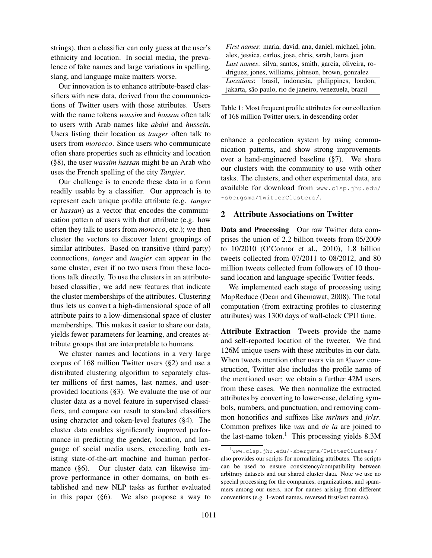strings), then a classifier can only guess at the user's ethnicity and location. In social media, the prevalence of fake names and large variations in spelling, slang, and language make matters worse.

Our innovation is to enhance attribute-based classifiers with new data, derived from the communications of Twitter users with those attributes. Users with the name tokens *wassim* and *hassan* often talk to users with Arab names like *abdul* and *hussein*. Users listing their location as *tanger* often talk to users from *morocco*. Since users who communicate often share properties such as ethnicity and location (§8), the user *wassim hassan* might be an Arab who uses the French spelling of the city *Tangier*.

Our challenge is to encode these data in a form readily usable by a classifier. Our approach is to represent each unique profile attribute (e.g. *tanger* or *hassan*) as a vector that encodes the communication pattern of users with that attribute (e.g. how often they talk to users from *morocco*, etc.); we then cluster the vectors to discover latent groupings of similar attributes. Based on transitive (third party) connections, *tanger* and *tangier* can appear in the same cluster, even if no two users from these locations talk directly. To use the clusters in an attributebased classifier, we add new features that indicate the cluster memberships of the attributes. Clustering thus lets us convert a high-dimensional space of all attribute pairs to a low-dimensional space of cluster memberships. This makes it easier to share our data, yields fewer parameters for learning, and creates attribute groups that are interpretable to humans.

We cluster names and locations in a very large corpus of 168 million Twitter users (§2) and use a distributed clustering algorithm to separately cluster millions of first names, last names, and userprovided locations (§3). We evaluate the use of our cluster data as a novel feature in supervised classifiers, and compare our result to standard classifiers using character and token-level features (§4). The cluster data enables significantly improved performance in predicting the gender, location, and language of social media users, exceeding both existing state-of-the-art machine and human performance (§6). Our cluster data can likewise improve performance in other domains, on both established and new NLP tasks as further evaluated in this paper (§6). We also propose a way to

| First names: maria, david, ana, daniel, michael, john,  |  |  |  |  |  |
|---------------------------------------------------------|--|--|--|--|--|
| alex, jessica, carlos, jose, chris, sarah, laura, juan  |  |  |  |  |  |
| Last names: silva, santos, smith, garcia, oliveira, ro- |  |  |  |  |  |
| driguez, jones, williams, johnson, brown, gonzalez      |  |  |  |  |  |
| Locations: brasil, indonesia, philippines, london,      |  |  |  |  |  |
| jakarta, são paulo, rio de janeiro, venezuela, brazil   |  |  |  |  |  |

Table 1: Most frequent profile attributes for our collection of 168 million Twitter users, in descending order

enhance a geolocation system by using communication patterns, and show strong improvements over a hand-engineered baseline (§7). We share our clusters with the community to use with other tasks. The clusters, and other experimental data, are available for download from www.clsp.jhu.edu/ ~sbergsma/TwitterClusters/.

# 2 Attribute Associations on Twitter

Data and Processing Our raw Twitter data comprises the union of 2.2 billion tweets from 05/2009 to 10/2010 (O'Connor et al., 2010), 1.8 billion tweets collected from 07/2011 to 08/2012, and 80 million tweets collected from followers of 10 thousand location and language-specific Twitter feeds.

We implemented each stage of processing using MapReduce (Dean and Ghemawat, 2008). The total computation (from extracting profiles to clustering attributes) was 1300 days of wall-clock CPU time.

Attribute Extraction Tweets provide the name and self-reported location of the tweeter. We find 126M unique users with these attributes in our data. When tweets mention other users via an @*user* construction, Twitter also includes the profile name of the mentioned user; we obtain a further 42M users from these cases. We then normalize the extracted attributes by converting to lower-case, deleting symbols, numbers, and punctuation, and removing common honorifics and suffixes like *mr*/*mrs* and *jr*/*sr*. Common prefixes like *van* and *de la* are joined to the last-name token.<sup>1</sup> This processing yields  $8.3M$ 

<sup>1</sup> www.clsp.jhu.edu/~sbergsma/TwitterClusters/ also provides our scripts for normalizing attributes. The scripts can be used to ensure consistency/compatibility between arbitrary datasets and our shared cluster data. Note we use no special processing for the companies, organizations, and spammers among our users, nor for names arising from different conventions (e.g. 1-word names, reversed first/last names).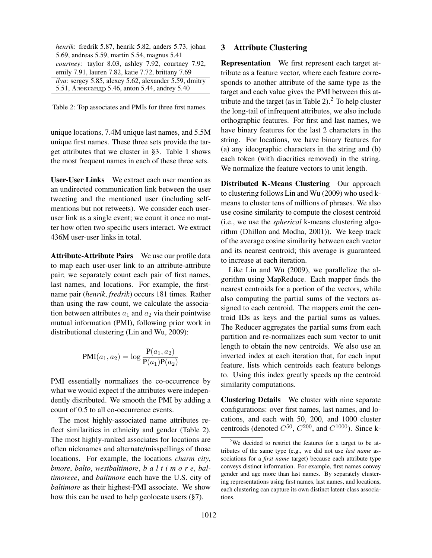| henrik: fredrik 5.87, henrik 5.82, anders 5.73, johan      |
|------------------------------------------------------------|
| 5.69, andreas 5.59, martin 5.54, magnus 5.41               |
| <i>courtney</i> : taylor 8.03, ashley 7.92, courtney 7.92, |
| emily 7.91, lauren 7.82, katie 7.72, brittany 7.69         |
| ilya: sergey 5.85, alexey 5.62, alexander 5.59, dmitry     |
| 5.51, Александр 5.46, anton 5.44, andrey 5.40              |

Table 2: Top associates and PMIs for three first names.

unique locations, 7.4M unique last names, and 5.5M unique first names. These three sets provide the target attributes that we cluster in §3. Table 1 shows the most frequent names in each of these three sets.

User-User Links We extract each user mention as an undirected communication link between the user tweeting and the mentioned user (including selfmentions but not retweets). We consider each useruser link as a single event; we count it once no matter how often two specific users interact. We extract 436M user-user links in total.

Attribute-Attribute Pairs We use our profile data to map each user-user link to an attribute-attribute pair; we separately count each pair of first names, last names, and locations. For example, the firstname pair (*henrik*, *fredrik*) occurs 181 times. Rather than using the raw count, we calculate the association between attributes  $a_1$  and  $a_2$  via their pointwise mutual information (PMI), following prior work in distributional clustering (Lin and Wu, 2009):

$$
PMI(a_1, a_2) = \log \frac{P(a_1, a_2)}{P(a_1)P(a_2)}
$$

PMI essentially normalizes the co-occurrence by what we would expect if the attributes were independently distributed. We smooth the PMI by adding a count of 0.5 to all co-occurrence events.

The most highly-associated name attributes reflect similarities in ethnicity and gender (Table 2). The most highly-ranked associates for locations are often nicknames and alternate/misspellings of those locations. For example, the locations *charm city*, *bmore*, *balto*, *westbaltimore*, *b a l t i m o r e*, *baltimoreee*, and *balitmore* each have the U.S. city of *baltimore* as their highest-PMI associate. We show how this can be used to help geolocate users (§7).

#### 3 Attribute Clustering

Representation We first represent each target attribute as a feature vector, where each feature corresponds to another attribute of the same type as the target and each value gives the PMI between this attribute and the target (as in Table  $2$ ).<sup>2</sup> To help cluster the long-tail of infrequent attributes, we also include orthographic features. For first and last names, we have binary features for the last 2 characters in the string. For locations, we have binary features for (a) any ideographic characters in the string and (b) each token (with diacritics removed) in the string. We normalize the feature vectors to unit length.

Distributed K-Means Clustering Our approach to clustering follows Lin and Wu (2009) who used kmeans to cluster tens of millions of phrases. We also use cosine similarity to compute the closest centroid (i.e., we use the *spherical* k-means clustering algorithm (Dhillon and Modha, 2001)). We keep track of the average cosine similarity between each vector and its nearest centroid; this average is guaranteed to increase at each iteration.

Like Lin and Wu (2009), we parallelize the algorithm using MapReduce. Each mapper finds the nearest centroids for a portion of the vectors, while also computing the partial sums of the vectors assigned to each centroid. The mappers emit the centroid IDs as keys and the partial sums as values. The Reducer aggregates the partial sums from each partition and re-normalizes each sum vector to unit length to obtain the new centroids. We also use an inverted index at each iteration that, for each input feature, lists which centroids each feature belongs to. Using this index greatly speeds up the centroid similarity computations.

Clustering Details We cluster with nine separate configurations: over first names, last names, and locations, and each with 50, 200, and 1000 cluster centroids (denoted  $C^{50}$ ,  $C^{200}$ , and  $C^{1000}$ ). Since k-

 $2$ We decided to restrict the features for a target to be attributes of the same type (e.g., we did not use *last name* associations for a *first name* target) because each attribute type conveys distinct information. For example, first names convey gender and age more than last names. By separately clustering representations using first names, last names, and locations, each clustering can capture its own distinct latent-class associations.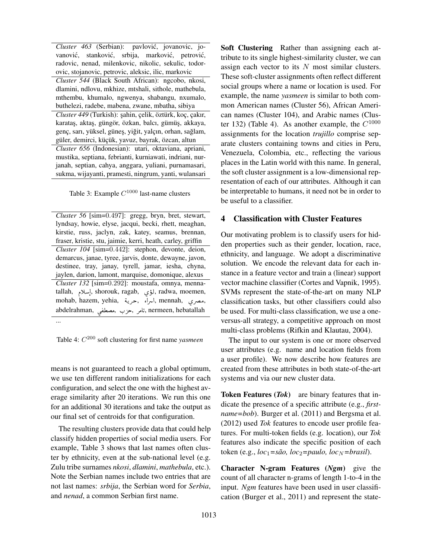*Cluster 463* (Serbian): pavlovic, jovanovic, jo- ´ vanović, stanković, srbija, marković, petrović, radovic, nenad, milenkovic, nikolic, sekulic, todorovic, stojanovic, petrovic, aleksic, ilic, markovic *Cluster 544* (Black South African): ngcobo, nkosi, dlamini, ndlovu, mkhize, mtshali, sithole, mathebula, mthembu, khumalo, ngwenya, shabangu, nxumalo, buthelezi, radebe, mabena, zwane, mbatha, sibiya *Cluster 449* (Turkish): ¸sahin, çelik, öztürk, koç, çakır, karataş, aktaş, güngör, özkan, balcı, gümüş, akkaya, genç, sarı, yüksel, güneş, yiğit, yalçın, orhan, sağlam, güler, demirci, küçük, yavuz, bayrak, özcan, altun *Cluster 656* (Indonesian): utari, oktaviana, apriani, mustika, septiana, febrianti, kurniawati, indriani, nurjanah, septian, cahya, anggara, yuliani, purnamasari, sukma, wijayanti, pramesti, ningrum, yanti, wulansari

Table 3: Example  $C^{1000}$  last-name clusters

*Cluster 56* [sim=0.497]: gregg, bryn, bret, stewart, lyndsay, howie, elyse, jacqui, becki, rhett, meaghan, kirstie, russ, jaclyn, zak, katey, seamus, brennan, fraser, kristie, stu, jaimie, kerri, heath, carley, griffin *Cluster 104* [sim=0.442]: stephon, devonte, deion, demarcus, janae, tyree, jarvis, donte, dewayne, javon, destinee, tray, janay, tyrell, jamar, iesha, chyna, jaylen, darion, lamont, marquise, domonique, alexus *Cluster 132* [sim=0.292]: moustafa, omnya, mennatallah, إسلام, shorouk, ragab, لؤي, radwa, moemen, ļ talan, إسلام, shorouk, ragab, بالمسلام, radwa, moemen,<br>mohab, hazem, yehia, المراء , حرية, mennah, امراء 1<br>ء ֦֧֦֧֦֧֦֧֦֧֦֧֦֧֦֦֧֦֦֦֦֦֦֦֦֦֦֦֦֦֦ abdelrahman, تصريح الله, moman, تصريح الله, moman, تامر , moman, تصريح , ļ .<br>.<br>. ...

Table 4: C <sup>200</sup> soft clustering for first name *yasmeen*

means is not guaranteed to reach a global optimum, we use ten different random initializations for each configuration, and select the one with the highest average similarity after 20 iterations. We run this one for an additional 30 iterations and take the output as our final set of centroids for that configuration.

The resulting clusters provide data that could help classify hidden properties of social media users. For example, Table 3 shows that last names often cluster by ethnicity, even at the sub-national level (e.g. Zulu tribe surnames *nkosi*, *dlamini*, *mathebula*, etc.). Note the Serbian names include two entries that are not last names: *srbija*, the Serbian word for *Serbia*, and *nenad*, a common Serbian first name.

Soft Clustering Rather than assigning each attribute to its single highest-similarity cluster, we can assign each vector to its  $N$  most similar clusters. These soft-cluster assignments often reflect different social groups where a name or location is used. For example, the name *yasmeen* is similar to both common American names (Cluster 56), African American names (Cluster 104), and Arabic names (Cluster 132) (Table 4). As another example, the  $C^{1000}$ assignments for the location *trujillo* comprise separate clusters containing towns and cities in Peru, Venezuela, Colombia, etc., reflecting the various places in the Latin world with this name. In general, the soft cluster assignment is a low-dimensional representation of each of our attributes. Although it can be interpretable to humans, it need not be in order to be useful to a classifier.

### 4 Classification with Cluster Features

Our motivating problem is to classify users for hidden properties such as their gender, location, race, ethnicity, and language. We adopt a discriminative solution. We encode the relevant data for each instance in a feature vector and train a (linear) support vector machine classifier (Cortes and Vapnik, 1995). SVMs represent the state-of-the-art on many NLP classification tasks, but other classifiers could also be used. For multi-class classification, we use a oneversus-all strategy, a competitive approach on most multi-class problems (Rifkin and Klautau, 2004).

The input to our system is one or more observed user attributes (e.g. name and location fields from a user profile). We now describe how features are created from these attributes in both state-of-the-art systems and via our new cluster data.

Token Features (*Tok*) are binary features that indicate the presence of a specific attribute (e.g., *firstname=bob*). Burger et al. (2011) and Bergsma et al. (2012) used *Tok* features to encode user profile features. For multi-token fields (e.g. location), our *Tok* features also indicate the specific position of each token (e.g.,  $loc_1 = s\tilde{a}o$ ,  $loc_2 = paulo$ ,  $loc_N = brasil$ ).

Character N-gram Features (*Ngm*) give the count of all character n-grams of length 1-to-4 in the input. *Ngm* features have been used in user classification (Burger et al., 2011) and represent the state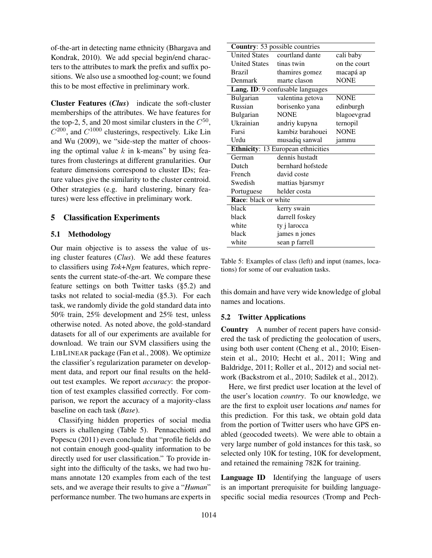of-the-art in detecting name ethnicity (Bhargava and Kondrak, 2010). We add special begin/end characters to the attributes to mark the prefix and suffix positions. We also use a smoothed log-count; we found this to be most effective in preliminary work.

Cluster Features (*Clus*) indicate the soft-cluster memberships of the attributes. We have features for the top-2, 5, and 20 most similar clusters in the  $C^{50}$ ,  $C^{200}$ , and  $C^{1000}$  clusterings, respectively. Like Lin and Wu (2009), we "side-step the matter of choosing the optimal value  $k$  in k-means" by using features from clusterings at different granularities. Our feature dimensions correspond to cluster IDs; feature values give the similarity to the cluster centroid. Other strategies (e.g. hard clustering, binary features) were less effective in preliminary work.

#### 5 Classification Experiments

#### 5.1 Methodology

Our main objective is to assess the value of using cluster features (*Clus*). We add these features to classifiers using *Tok*+*Ngm* features, which represents the current state-of-the-art. We compare these feature settings on both Twitter tasks (§5.2) and tasks not related to social-media (§5.3). For each task, we randomly divide the gold standard data into 50% train, 25% development and 25% test, unless otherwise noted. As noted above, the gold-standard datasets for all of our experiments are available for download. We train our SVM classifiers using the LIBLINEAR package (Fan et al., 2008). We optimize the classifier's regularization parameter on development data, and report our final results on the heldout test examples. We report *accuracy*: the proportion of test examples classified correctly. For comparison, we report the accuracy of a majority-class baseline on each task (*Base*).

Classifying hidden properties of social media users is challenging (Table 5). Pennacchiotti and Popescu (2011) even conclude that "profile fields do not contain enough good-quality information to be directly used for user classification." To provide insight into the difficulty of the tasks, we had two humans annotate 120 examples from each of the test sets, and we average their results to give a "*Human*" performance number. The two humans are experts in

| <b>Country: 53 possible countries</b>     |                   |              |  |  |  |  |  |  |
|-------------------------------------------|-------------------|--------------|--|--|--|--|--|--|
| <b>United States</b>                      | courtland dante   | cali baby    |  |  |  |  |  |  |
| <b>United States</b>                      | tinas twin        | on the court |  |  |  |  |  |  |
| Brazil                                    | thamires gomez    | macapá ap    |  |  |  |  |  |  |
| Denmark                                   | marte clason      | <b>NONE</b>  |  |  |  |  |  |  |
| Lang. ID: 9 confusable languages          |                   |              |  |  |  |  |  |  |
| Bulgarian                                 | valentina getova  | <b>NONE</b>  |  |  |  |  |  |  |
| Russian                                   | borisenko yana    | edinburgh    |  |  |  |  |  |  |
| Bulgarian                                 | <b>NONE</b>       | blagoevgrad  |  |  |  |  |  |  |
| Ukrainian                                 | andriy kupyna     | ternopil     |  |  |  |  |  |  |
| Farsi                                     | kambiz barahouei  | <b>NONE</b>  |  |  |  |  |  |  |
| Urdu                                      | musadiq sanwal    | jammu        |  |  |  |  |  |  |
| <b>Ethnicity: 13 European ethnicities</b> |                   |              |  |  |  |  |  |  |
| German                                    | dennis hustadt    |              |  |  |  |  |  |  |
| Dutch                                     | bernhard hofstede |              |  |  |  |  |  |  |
| French                                    | david coste       |              |  |  |  |  |  |  |
| Swedish                                   | mattias bjarsmyr  |              |  |  |  |  |  |  |
| Portuguese                                | helder costa      |              |  |  |  |  |  |  |
| Race: black or white                      |                   |              |  |  |  |  |  |  |
| black                                     | kerry swain       |              |  |  |  |  |  |  |
| black                                     | darrell foskey    |              |  |  |  |  |  |  |
| white                                     | ty j larocca      |              |  |  |  |  |  |  |
| black                                     | james n jones     |              |  |  |  |  |  |  |
| white                                     | sean p farrell    |              |  |  |  |  |  |  |

Table 5: Examples of class (left) and input (names, locations) for some of our evaluation tasks.

this domain and have very wide knowledge of global names and locations.

#### 5.2 Twitter Applications

Country A number of recent papers have considered the task of predicting the geolocation of users, using both user content (Cheng et al., 2010; Eisenstein et al., 2010; Hecht et al., 2011; Wing and Baldridge, 2011; Roller et al., 2012) and social network (Backstrom et al., 2010; Sadilek et al., 2012).

Here, we first predict user location at the level of the user's location *country*. To our knowledge, we are the first to exploit user locations *and* names for this prediction. For this task, we obtain gold data from the portion of Twitter users who have GPS enabled (geocoded tweets). We were able to obtain a very large number of gold instances for this task, so selected only 10K for testing, 10K for development, and retained the remaining 782K for training.

Language ID Identifying the language of users is an important prerequisite for building languagespecific social media resources (Tromp and Pech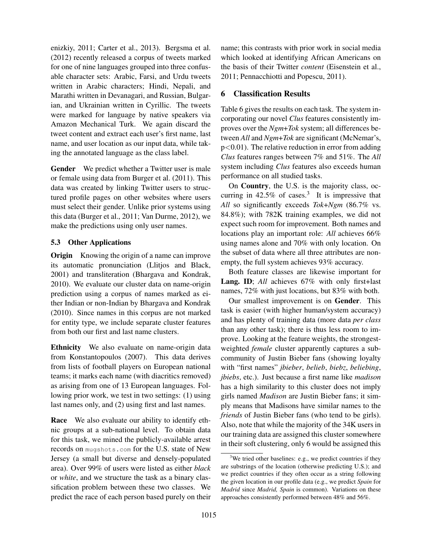enizkiy, 2011; Carter et al., 2013). Bergsma et al. (2012) recently released a corpus of tweets marked for one of nine languages grouped into three confusable character sets: Arabic, Farsi, and Urdu tweets written in Arabic characters; Hindi, Nepali, and Marathi written in Devanagari, and Russian, Bulgarian, and Ukrainian written in Cyrillic. The tweets were marked for language by native speakers via Amazon Mechanical Turk. We again discard the tweet content and extract each user's first name, last name, and user location as our input data, while taking the annotated language as the class label.

Gender We predict whether a Twitter user is male or female using data from Burger et al. (2011). This data was created by linking Twitter users to structured profile pages on other websites where users must select their gender. Unlike prior systems using this data (Burger et al., 2011; Van Durme, 2012), we make the predictions using only user names.

# 5.3 Other Applications

**Origin** Knowing the origin of a name can improve its automatic pronunciation (Llitjos and Black, 2001) and transliteration (Bhargava and Kondrak, 2010). We evaluate our cluster data on name-origin prediction using a corpus of names marked as either Indian or non-Indian by Bhargava and Kondrak (2010). Since names in this corpus are not marked for entity type, we include separate cluster features from both our first and last name clusters.

Ethnicity We also evaluate on name-origin data from Konstantopoulos (2007). This data derives from lists of football players on European national teams; it marks each name (with diacritics removed) as arising from one of 13 European languages. Following prior work, we test in two settings: (1) using last names only, and (2) using first and last names.

Race We also evaluate our ability to identify ethnic groups at a sub-national level. To obtain data for this task, we mined the publicly-available arrest records on mugshots.com for the U.S. state of New Jersey (a small but diverse and densely-populated area). Over 99% of users were listed as either *black* or *white*, and we structure the task as a binary classification problem between these two classes. We predict the race of each person based purely on their name; this contrasts with prior work in social media which looked at identifying African Americans on the basis of their Twitter *content* (Eisenstein et al., 2011; Pennacchiotti and Popescu, 2011).

# 6 Classification Results

Table 6 gives the results on each task. The system incorporating our novel *Clus* features consistently improves over the *Ngm*+*Tok* system; all differences between *All* and *Ngm*+*Tok* are significant (McNemar's,  $p<0.01$ ). The relative reduction in error from adding *Clus* features ranges between 7% and 51%. The *All* system including *Clus* features also exceeds human performance on all studied tasks.

On Country, the U.S. is the majority class, occurring in 42.5% of cases.<sup>3</sup> It is impressive that *All* so significantly exceeds *Tok*+*Ngm* (86.7% vs. 84.8%); with 782K training examples, we did not expect such room for improvement. Both names and locations play an important role: *All* achieves 66% using names alone and 70% with only location. On the subset of data where all three attributes are nonempty, the full system achieves 93% accuracy.

Both feature classes are likewise important for Lang. ID; *All* achieves 67% with only first+last names, 72% with just locations, but 83% with both.

Our smallest improvement is on Gender. This task is easier (with higher human/system accuracy) and has plenty of training data (more data *per class* than any other task); there is thus less room to improve. Looking at the feature weights, the strongestweighted *female* cluster apparently captures a subcommunity of Justin Bieber fans (showing loyalty with "first names" *jbieber*, *belieb*, *biebz*, *beliebing*, *jbiebs*, etc.). Just because a first name like *madison* has a high similarity to this cluster does not imply girls named *Madison* are Justin Bieber fans; it simply means that Madisons have similar names to the *friends* of Justin Bieber fans (who tend to be girls). Also, note that while the majority of the 34K users in our training data are assigned this cluster somewhere in their soft clustering, only 6 would be assigned this

 $3$ We tried other baselines: e.g., we predict countries if they are substrings of the location (otherwise predicting U.S.); and we predict countries if they often occur as a string following the given location in our profile data (e.g., we predict *Spain* for *Madrid* since *Madrid, Spain* is common). Variations on these approaches consistently performed between 48% and 56%.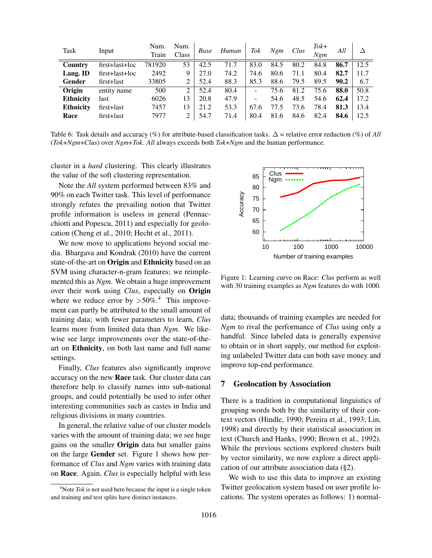| Task             | Input          | Num.<br>Train | Num.<br>Class | Base | Human | Tok  | Ngm  | Clus | $Tok+$<br>Nem | All  | Λ    |
|------------------|----------------|---------------|---------------|------|-------|------|------|------|---------------|------|------|
| Country          | first+last+loc | 781920        | 53            | 42.5 | 71.7  | 83.0 | 84.5 | 80.2 | 84.8          | 86.7 | 12.5 |
| Lang. ID         | first+last+loc | 2492          | 9             | 27.0 | 74.2  | 74.6 | 80.6 | 71.1 | 80.4          | 82.7 | 11.7 |
| Gender           | first+last     | 33805         |               | 52.4 | 88.3  | 85.3 | 88.6 | 79.5 | 89.5          | 90.2 | 6.7  |
| Origin           | entity name    | 500           | $2^{1}$       | 52.4 | 80.4  |      | 75.6 | 81.2 | 75.6          | 88.0 | 50.8 |
| <b>Ethnicity</b> | last           | 6026          | 13            | 20.8 | 47.9  |      | 54.6 | 48.5 | 54.6          | 62.4 | 17.2 |
| <b>Ethnicity</b> | first+last     | 7457          | 13            | 21.2 | 53.3  | 67.6 | 77.5 | 73.6 | 78.4          | 81.3 | 13.4 |
| Race             | first+last     | 7977          | 2             | 54.7 | 71.4  | 80.4 | 81.6 | 84.6 | 82.4          | 84.6 | 12.5 |

Table 6: Task details and accuracy (%) for attribute-based classification tasks. ∆ = relative error reduction (%) of *All* (*Tok*+*Ngm*+*Clus*) over *Ngm*+*Tok*. *All* always exceeds both *Tok*+*Ngm* and the human performance.

cluster in a *hard* clustering. This clearly illustrates the value of the soft clustering representation.

Note the *All* system performed between 83% and 90% on each Twitter task. This level of performance strongly refutes the prevailing notion that Twitter profile information is useless in general (Pennacchiotti and Popescu, 2011) and especially for geolocation (Cheng et al., 2010; Hecht et al., 2011).

We now move to applications beyond social media. Bhargava and Kondrak (2010) have the current state-of-the-art on Origin and Ethnicity based on an SVM using character-n-gram features; we reimplemented this as *Ngm*. We obtain a huge improvement over their work using *Clus*, especially on Origin where we reduce error by  $>50\%$ <sup>4</sup>. This improvement can partly be attributed to the small amount of training data; with fewer parameters to learn, *Clus* learns more from limited data than *Ngm*. We likewise see large improvements over the state-of-theart on Ethnicity, on both last name and full name settings.

Finally, *Clus* features also significantly improve accuracy on the new Race task. Our cluster data can therefore help to classify names into sub-national groups, and could potentially be used to infer other interesting communities such as castes in India and religious divisions in many countries.

In general, the relative value of our cluster models varies with the amount of training data; we see huge gains on the smaller Origin data but smaller gains on the large Gender set. Figure 1 shows how performance of *Clus* and *Ngm* varies with training data on Race. Again, *Clus* is especially helpful with less



Figure 1: Learning curve on Race: *Clus* perform as well with 30 training examples as *Ngm* features do with 1000.

data; thousands of training examples are needed for *Ngm* to rival the performance of *Clus* using only a handful. Since labeled data is generally expensive to obtain or in short supply, our method for exploiting unlabeled Twitter data can both save money and improve top-end performance.

#### 7 Geolocation by Association

There is a tradition in computational linguistics of grouping words both by the similarity of their context vectors (Hindle, 1990; Pereira et al., 1993; Lin, 1998) and directly by their statistical association in text (Church and Hanks, 1990; Brown et al., 1992). While the previous sections explored clusters built by vector similarity, we now explore a direct application of our attribute association data (§2).

We wish to use this data to improve an existing Twitter geolocation system based on user profile locations. The system operates as follows: 1) normal-

<sup>&</sup>lt;sup>4</sup>Note *Tok* is not used here because the input is a single token and training and test splits have distinct instances.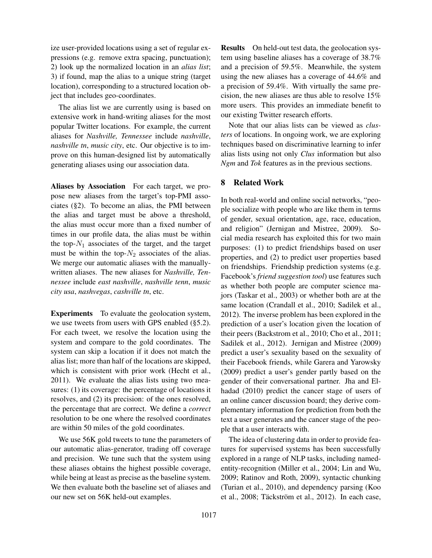ize user-provided locations using a set of regular expressions (e.g. remove extra spacing, punctuation); 2) look up the normalized location in an *alias list*; 3) if found, map the alias to a unique string (target location), corresponding to a structured location object that includes geo-coordinates.

The alias list we are currently using is based on extensive work in hand-writing aliases for the most popular Twitter locations. For example, the current aliases for *Nashville, Tennessee* include *nashville*, *nashville tn*, *music city*, etc. Our objective is to improve on this human-designed list by automatically generating aliases using our association data.

Aliases by Association For each target, we propose new aliases from the target's top-PMI associates (§2). To become an alias, the PMI between the alias and target must be above a threshold, the alias must occur more than a fixed number of times in our profile data, the alias must be within the top- $N_1$  associates of the target, and the target must be within the top- $N_2$  associates of the alias. We merge our automatic aliases with the manuallywritten aliases. The new aliases for *Nashville, Tennessee* include *east nashville*, *nashville tenn*, *music city usa*, *nashvegas*, *cashville tn*, etc.

Experiments To evaluate the geolocation system, we use tweets from users with GPS enabled (§5.2). For each tweet, we resolve the location using the system and compare to the gold coordinates. The system can skip a location if it does not match the alias list; more than half of the locations are skipped, which is consistent with prior work (Hecht et al., 2011). We evaluate the alias lists using two measures: (1) its coverage: the percentage of locations it resolves, and (2) its precision: of the ones resolved, the percentage that are correct. We define a *correct* resolution to be one where the resolved coordinates are within 50 miles of the gold coordinates.

We use 56K gold tweets to tune the parameters of our automatic alias-generator, trading off coverage and precision. We tune such that the system using these aliases obtains the highest possible coverage, while being at least as precise as the baseline system. We then evaluate both the baseline set of aliases and our new set on 56K held-out examples.

Results On held-out test data, the geolocation system using baseline aliases has a coverage of 38.7% and a precision of 59.5%. Meanwhile, the system using the new aliases has a coverage of 44.6% and a precision of 59.4%. With virtually the same precision, the new aliases are thus able to resolve 15% more users. This provides an immediate benefit to our existing Twitter research efforts.

Note that our alias lists can be viewed as *clusters* of locations. In ongoing work, we are exploring techniques based on discriminative learning to infer alias lists using not only *Clus* information but also *Ngm* and *Tok* features as in the previous sections.

### 8 Related Work

In both real-world and online social networks, "people socialize with people who are like them in terms of gender, sexual orientation, age, race, education, and religion" (Jernigan and Mistree, 2009). Social media research has exploited this for two main purposes: (1) to predict friendships based on user properties, and (2) to predict user properties based on friendships. Friendship prediction systems (e.g. Facebook's *friend suggestion tool*) use features such as whether both people are computer science majors (Taskar et al., 2003) or whether both are at the same location (Crandall et al., 2010; Sadilek et al., 2012). The inverse problem has been explored in the prediction of a user's location given the location of their peers (Backstrom et al., 2010; Cho et al., 2011; Sadilek et al., 2012). Jernigan and Mistree (2009) predict a user's sexuality based on the sexuality of their Facebook friends, while Garera and Yarowsky (2009) predict a user's gender partly based on the gender of their conversational partner. Jha and Elhadad (2010) predict the cancer stage of users of an online cancer discussion board; they derive complementary information for prediction from both the text a user generates and the cancer stage of the people that a user interacts with.

The idea of clustering data in order to provide features for supervised systems has been successfully explored in a range of NLP tasks, including namedentity-recognition (Miller et al., 2004; Lin and Wu, 2009; Ratinov and Roth, 2009), syntactic chunking (Turian et al., 2010), and dependency parsing (Koo et al., 2008; Täckström et al., 2012). In each case,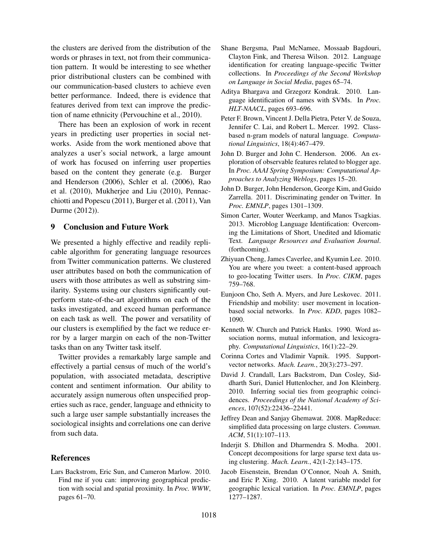the clusters are derived from the distribution of the words or phrases in text, not from their communication pattern. It would be interesting to see whether prior distributional clusters can be combined with our communication-based clusters to achieve even better performance. Indeed, there is evidence that features derived from text can improve the prediction of name ethnicity (Pervouchine et al., 2010).

There has been an explosion of work in recent years in predicting user properties in social networks. Aside from the work mentioned above that analyzes a user's social network, a large amount of work has focused on inferring user properties based on the content they generate (e.g. Burger and Henderson (2006), Schler et al. (2006), Rao et al. (2010), Mukherjee and Liu (2010), Pennacchiotti and Popescu (2011), Burger et al. (2011), Van Durme (2012)).

#### 9 Conclusion and Future Work

We presented a highly effective and readily replicable algorithm for generating language resources from Twitter communication patterns. We clustered user attributes based on both the communication of users with those attributes as well as substring similarity. Systems using our clusters significantly outperform state-of-the-art algorithms on each of the tasks investigated, and exceed human performance on each task as well. The power and versatility of our clusters is exemplified by the fact we reduce error by a larger margin on each of the non-Twitter tasks than on any Twitter task itself.

Twitter provides a remarkably large sample and effectively a partial census of much of the world's population, with associated metadata, descriptive content and sentiment information. Our ability to accurately assign numerous often unspecified properties such as race, gender, language and ethnicity to such a large user sample substantially increases the sociological insights and correlations one can derive from such data.

#### References

Lars Backstrom, Eric Sun, and Cameron Marlow. 2010. Find me if you can: improving geographical prediction with social and spatial proximity. In *Proc. WWW*, pages 61–70.

- Shane Bergsma, Paul McNamee, Mossaab Bagdouri, Clayton Fink, and Theresa Wilson. 2012. Language identification for creating language-specific Twitter collections. In *Proceedings of the Second Workshop on Language in Social Media*, pages 65–74.
- Aditya Bhargava and Grzegorz Kondrak. 2010. Language identification of names with SVMs. In *Proc. HLT-NAACL*, pages 693–696.
- Peter F. Brown, Vincent J. Della Pietra, Peter V. de Souza, Jennifer C. Lai, and Robert L. Mercer. 1992. Classbased n-gram models of natural language. *Computational Linguistics*, 18(4):467–479.
- John D. Burger and John C. Henderson. 2006. An exploration of observable features related to blogger age. In *Proc. AAAI Spring Symposium: Computational Approaches to Analyzing Weblogs*, pages 15–20.
- John D. Burger, John Henderson, George Kim, and Guido Zarrella. 2011. Discriminating gender on Twitter. In *Proc. EMNLP*, pages 1301–1309.
- Simon Carter, Wouter Weerkamp, and Manos Tsagkias. 2013. Microblog Language Identification: Overcoming the Limitations of Short, Unedited and Idiomatic Text. *Language Resources and Evaluation Journal*. (forthcoming).
- Zhiyuan Cheng, James Caverlee, and Kyumin Lee. 2010. You are where you tweet: a content-based approach to geo-locating Twitter users. In *Proc. CIKM*, pages 759–768.
- Eunjoon Cho, Seth A. Myers, and Jure Leskovec. 2011. Friendship and mobility: user movement in locationbased social networks. In *Proc. KDD*, pages 1082– 1090.
- Kenneth W. Church and Patrick Hanks. 1990. Word association norms, mutual information, and lexicography. *Computational Linguistics*, 16(1):22–29.
- Corinna Cortes and Vladimir Vapnik. 1995. Supportvector networks. *Mach. Learn.*, 20(3):273–297.
- David J. Crandall, Lars Backstrom, Dan Cosley, Siddharth Suri, Daniel Huttenlocher, and Jon Kleinberg. 2010. Inferring social ties from geographic coincidences. *Proceedings of the National Academy of Sciences*, 107(52):22436–22441.
- Jeffrey Dean and Sanjay Ghemawat. 2008. MapReduce: simplified data processing on large clusters. *Commun. ACM*, 51(1):107–113.
- Inderjit S. Dhillon and Dharmendra S. Modha. 2001. Concept decompositions for large sparse text data using clustering. *Mach. Learn.*, 42(1-2):143–175.
- Jacob Eisenstein, Brendan O'Connor, Noah A. Smith, and Eric P. Xing. 2010. A latent variable model for geographic lexical variation. In *Proc. EMNLP*, pages 1277–1287.